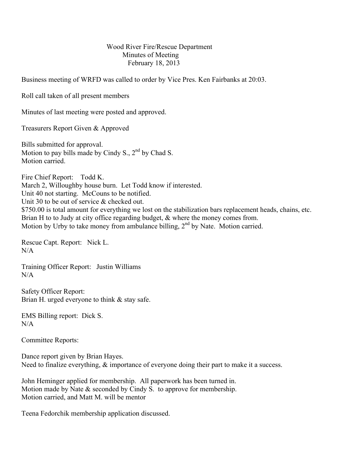## Wood River Fire/Rescue Department Minutes of Meeting February 18, 2013

Business meeting of WRFD was called to order by Vice Pres. Ken Fairbanks at 20:03.

Roll call taken of all present members

Minutes of last meeting were posted and approved.

Treasurers Report Given & Approved

Bills submitted for approval. Motion to pay bills made by Cindy S.,  $2<sup>nd</sup>$  by Chad S. Motion carried.

Fire Chief Report: Todd K. March 2, Willoughby house burn. Let Todd know if interested. Unit 40 not starting. McCouns to be notified. Unit 30 to be out of service & checked out. \$750.00 is total amount for everything we lost on the stabilization bars replacement heads, chains, etc. Brian H to to Judy at city office regarding budget, & where the money comes from. Motion by Urby to take money from ambulance billing,  $2<sup>nd</sup>$  by Nate. Motion carried.

Rescue Capt. Report: Nick L.  $N/A$ 

Training Officer Report: Justin Williams N/A

Safety Officer Report: Brian H. urged everyone to think & stay safe.

EMS Billing report: Dick S.  $N/A$ 

Committee Reports:

Dance report given by Brian Hayes. Need to finalize everything,  $\&$  importance of everyone doing their part to make it a success.

John Heminger applied for membership. All paperwork has been turned in. Motion made by Nate & seconded by Cindy S. to approve for membership. Motion carried, and Matt M. will be mentor

Teena Fedorchik membership application discussed.